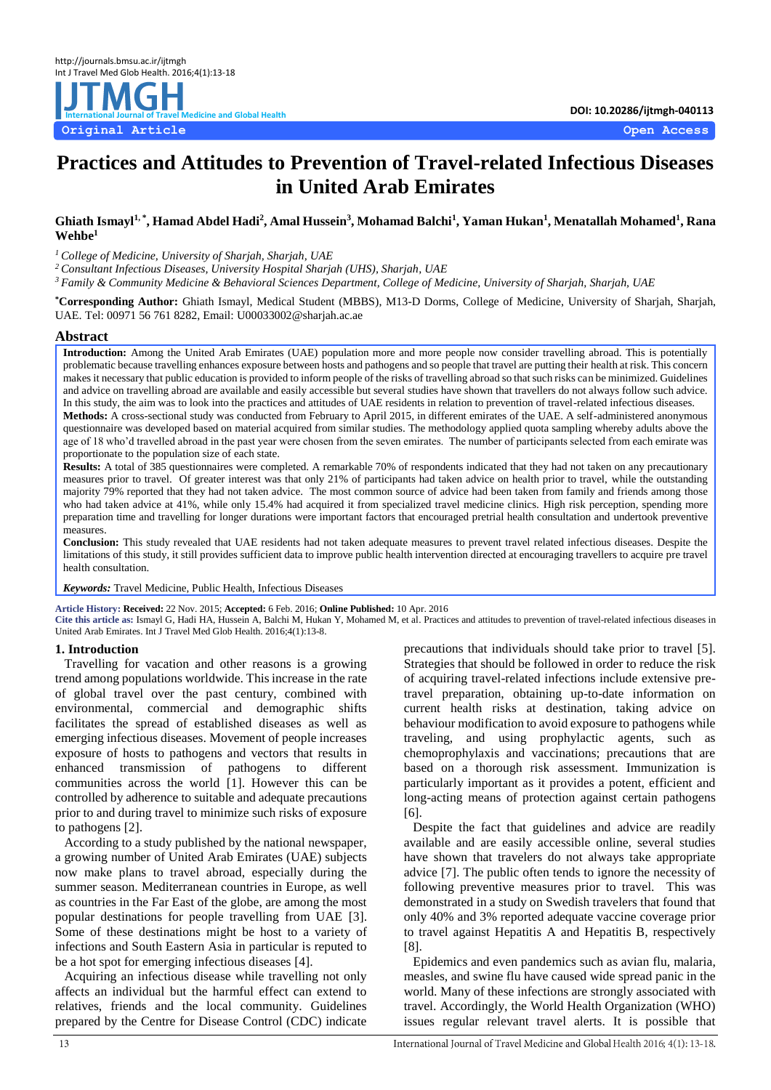# **DOI: 10.20286/ijtmgh-040113 International International International International International International International International International International International International International Interna Original Article Open Access**

## **Practices and Attitudes to Prevention of Travel-related Infectious Diseases in United Arab Emirates**

 $\bf{G}$ hiath Ismayl $^{1, \, *}$ , Hamad Abdel Hadi $^{2}$ , Amal Hussein $^{3}$ , Mohamad Balchi $^{1}$ , Yaman Hukan $^{1}$ , Menatallah Mohamed $^{1}$ , Rana **Wehbe<sup>1</sup>**

*<sup>1</sup>College of Medicine, University of Sharjah, Sharjah, UAE*

*<sup>2</sup>Consultant Infectious Diseases, University Hospital Sharjah (UHS), Sharjah, UAE*

*<sup>3</sup>Family & Community Medicine & Behavioral Sciences Department, College of Medicine, University of Sharjah, Sharjah, UAE*

**\*Corresponding Author:** Ghiath Ismayl, Medical Student (MBBS), M13-D Dorms, College of Medicine, University of Sharjah, Sharjah, UAE. Tel: 00971 56 761 8282, Email: U00033002@sharjah.ac.ae

#### **Abstract**

**Introduction:** Among the United Arab Emirates (UAE) population more and more people now consider travelling abroad. This is potentially problematic because travelling enhances exposure between hosts and pathogens and so people that travel are putting their health at risk. This concern makes it necessary that public education is provided to inform people of the risks of travelling abroad so that such risks can be minimized. Guidelines and advice on travelling abroad are available and easily accessible but several studies have shown that travellers do not always follow such advice. In this study, the aim was to look into the practices and attitudes of UAE residents in relation to prevention of travel-related infectious diseases. **Methods:** A cross-sectional study was conducted from February to April 2015, in different emirates of the UAE. A self-administered anonymous

questionnaire was developed based on material acquired from similar studies. The methodology applied quota sampling whereby adults above the age of 18 who'd travelled abroad in the past year were chosen from the seven emirates. The number of participants selected from each emirate was proportionate to the population size of each state.

**Results:** A total of 385 questionnaires were completed. A remarkable 70% of respondents indicated that they had not taken on any precautionary measures prior to travel. Of greater interest was that only 21% of participants had taken advice on health prior to travel, while the outstanding majority 79% reported that they had not taken advice. The most common source of advice had been taken from family and friends among those who had taken advice at 41%, while only 15.4% had acquired it from specialized travel medicine clinics. High risk perception, spending more preparation time and travelling for longer durations were important factors that encouraged pretrial health consultation and undertook preventive measures.

**Conclusion:** This study revealed that UAE residents had not taken adequate measures to prevent travel related infectious diseases. Despite the limitations of this study, it still provides sufficient data to improve public health intervention directed at encouraging travellers to acquire pre travel health consultation.

*Keywords:* Travel Medicine, Public Health, Infectious Diseases

**Article History: Received:** 22 Nov. 2015; **Accepted:** 6 Feb. 2016; **Online Published:** 10 Apr. 2016

**Cite this article as:** Ismayl G, Hadi HA, Hussein A, Balchi M, Hukan Y, Mohamed M, et al. Practices and attitudes to prevention of travel-related infectious diseases in United Arab Emirates. Int J Travel Med Glob Health. 2016;4(1):13-8.

## **1. Introduction**

Travelling for vacation and other reasons is a growing trend among populations worldwide. This increase in the rate of global travel over the past century, combined with environmental, commercial and demographic shifts facilitates the spread of established diseases as well as emerging infectious diseases. Movement of people increases exposure of hosts to pathogens and vectors that results in enhanced transmission of pathogens to different communities across the world [\[1\]](#page-5-0). However this can be controlled by adherence to suitable and adequate precautions prior to and during travel to minimize such risks of exposure to pathogens [\[2\]](#page-5-1).

According to a study published by the national newspaper, a growing number of United Arab Emirates (UAE) subjects now make plans to travel abroad, especially during the summer season. Mediterranean countries in Europe, as well as countries in the Far East of the globe, are among the most popular destinations for people travelling from UAE [\[3\]](#page-5-2). Some of these destinations might be host to a variety of infections and South Eastern Asia in particular is reputed to be a hot spot for emerging infectious diseases [\[4\]](#page-5-3).

Acquiring an infectious disease while travelling not only affects an individual but the harmful effect can extend to relatives, friends and the local community. Guidelines prepared by the Centre for Disease Control (CDC) indicate

precautions that individuals should take prior to travel [\[5\]](#page-5-4). Strategies that should be followed in order to reduce the risk of acquiring travel-related infections include extensive pretravel preparation, obtaining up-to-date information on current health risks at destination, taking advice on behaviour modification to avoid exposure to pathogens while traveling, and using prophylactic agents, such as chemoprophylaxis and vaccinations; precautions that are based on a thorough risk assessment. Immunization is particularly important as it provides a potent, efficient and long-acting means of protection against certain pathogens [\[6\]](#page-5-5).

Despite the fact that guidelines and advice are readily available and are easily accessible online, several studies have shown that travelers do not always take appropriate advice [\[7\]](#page-5-6). The public often tends to ignore the necessity of following preventive measures prior to travel. This was demonstrated in a study on Swedish travelers that found that only 40% and 3% reported adequate vaccine coverage prior to travel against Hepatitis A and Hepatitis B, respectively [\[8\]](#page-5-7).

Epidemics and even pandemics such as avian flu, malaria, measles, and swine flu have caused wide spread panic in the world. Many of these infections are strongly associated with travel. Accordingly, the World Health Organization (WHO) issues regular relevant travel alerts. It is possible that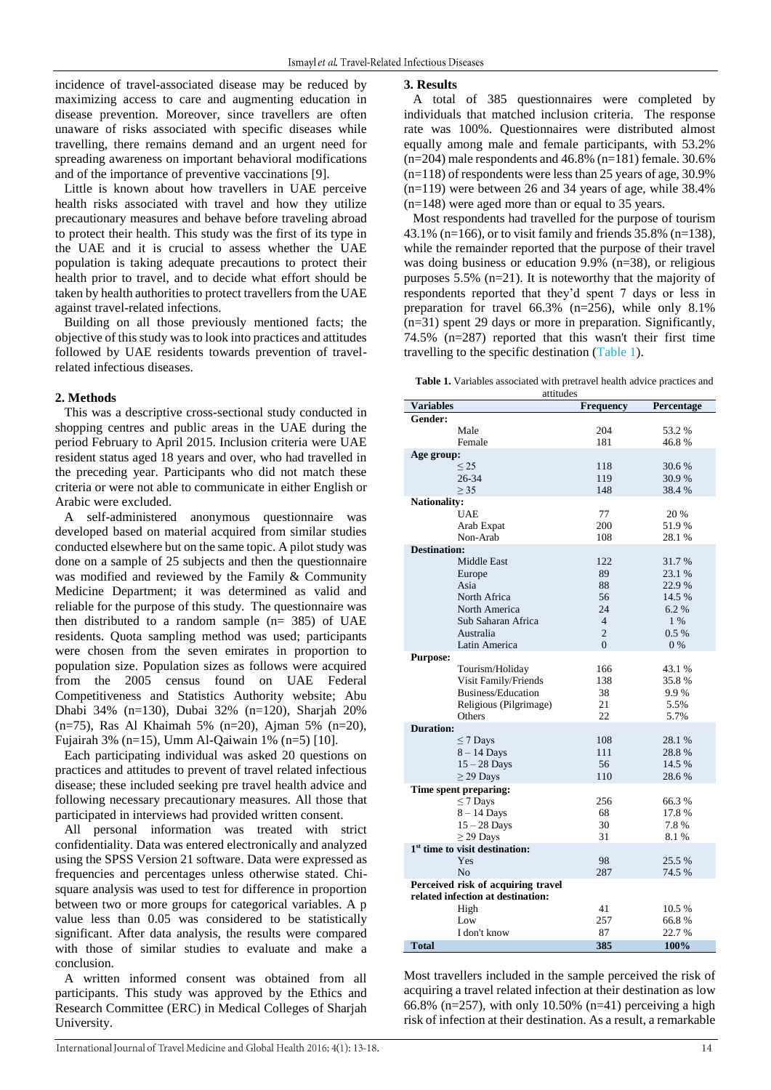incidence of travel-associated disease may be reduced by maximizing access to care and augmenting education in disease prevention. Moreover, since travellers are often unaware of risks associated with specific diseases while travelling, there remains demand and an urgent need for spreading awareness on important behavioral modifications and of the importance of preventive vaccinations [\[9\]](#page-5-8).

Little is known about how travellers in UAE perceive health risks associated with travel and how they utilize precautionary measures and behave before traveling abroad to protect their health. This study was the first of its type in the UAE and it is crucial to assess whether the UAE population is taking adequate precautions to protect their health prior to travel, and to decide what effort should be taken by health authorities to protect travellers from the UAE against travel-related infections.

Building on all those previously mentioned facts; the objective of this study was to look into practices and attitudes followed by UAE residents towards prevention of travelrelated infectious diseases.

#### **2. Methods**

This was a descriptive cross-sectional study conducted in shopping centres and public areas in the UAE during the period February to April 2015. Inclusion criteria were UAE resident status aged 18 years and over, who had travelled in the preceding year. Participants who did not match these criteria or were not able to communicate in either English or Arabic were excluded.

A self-administered anonymous questionnaire was developed based on material acquired from similar studies conducted elsewhere but on the same topic. A pilot study was done on a sample of 25 subjects and then the questionnaire was modified and reviewed by the Family & Community Medicine Department; it was determined as valid and reliable for the purpose of this study. The questionnaire was then distributed to a random sample (n= 385) of UAE residents. Quota sampling method was used; participants were chosen from the seven emirates in proportion to population size. Population sizes as follows were acquired from the 2005 census found on UAE Federal Competitiveness and Statistics Authority website; Abu Dhabi 34% (n=130), Dubai 32% (n=120), Sharjah 20% (n=75), Ras Al Khaimah 5% (n=20), Ajman 5% (n=20), Fujairah 3% (n=15), Umm Al-Qaiwain 1% (n=5) [\[10\]](#page-5-9).

Each participating individual was asked 20 questions on practices and attitudes to prevent of travel related infectious disease; these included seeking pre travel health advice and following necessary precautionary measures. All those that participated in interviews had provided written consent.

All personal information was treated with strict confidentiality. Data was entered electronically and analyzed using the SPSS Version 21 software. Data were expressed as frequencies and percentages unless otherwise stated. Chisquare analysis was used to test for difference in proportion between two or more groups for categorical variables. A p value less than 0.05 was considered to be statistically significant. After data analysis, the results were compared with those of similar studies to evaluate and make a conclusion.

A written informed consent was obtained from all participants. This study was approved by the Ethics and Research Committee (ERC) in Medical Colleges of Sharjah University.

#### **3. Results**

A total of 385 questionnaires were completed by individuals that matched inclusion criteria. The response rate was 100%. Questionnaires were distributed almost equally among male and female participants, with 53.2%  $(n=204)$  male respondents and 46.8%  $(n=181)$  female. 30.6%  $(n=118)$  of respondents were less than 25 years of age, 30.9%  $(n=119)$  were between 26 and 34 years of age, while 38.4% (n=148) were aged more than or equal to 35 years.

Most respondents had travelled for the purpose of tourism 43.1% (n=166), or to visit family and friends 35.8% (n=138), while the remainder reported that the purpose of their travel was doing business or education 9.9% (n=38), or religious purposes 5.5% (n=21). It is noteworthy that the majority of respondents reported that they'd spent 7 days or less in preparation for travel 66.3% (n=256), while only 8.1% (n=31) spent 29 days or more in preparation. Significantly, 74.5% (n=287) reported that this wasn't their first time travelling to the specific destination [\(Table 1\)](#page-1-0).

<span id="page-1-0"></span>**Table 1.** Variables associated with pretravel health advice practices and

| attitudes                          |                                            |                  |            |  |  |  |  |
|------------------------------------|--------------------------------------------|------------------|------------|--|--|--|--|
| Variables                          |                                            | <b>Frequency</b> | Percentage |  |  |  |  |
| Gender:                            |                                            |                  |            |  |  |  |  |
|                                    | Male                                       | 204              | 53.2 %     |  |  |  |  |
|                                    | Female                                     | 181              | 46.8%      |  |  |  |  |
| Age group:                         |                                            |                  |            |  |  |  |  |
|                                    | $\leq$ 25                                  | 118              | 30.6 %     |  |  |  |  |
|                                    | 26-34                                      | 119              | 30.9%      |  |  |  |  |
|                                    | $\geq$ 35                                  | 148              | 38.4%      |  |  |  |  |
| <b>Nationality:</b>                |                                            |                  |            |  |  |  |  |
|                                    | <b>UAE</b>                                 | 77               | 20 %       |  |  |  |  |
|                                    | Arab Expat                                 | 200              | 51.9%      |  |  |  |  |
|                                    | Non-Arab                                   | 108              | 28.1%      |  |  |  |  |
| <b>Destination:</b>                |                                            |                  |            |  |  |  |  |
|                                    | <b>Middle East</b>                         | 122              | 31.7 %     |  |  |  |  |
|                                    |                                            | 89               | 23.1 %     |  |  |  |  |
|                                    | Europe                                     |                  |            |  |  |  |  |
|                                    | Asia                                       | 88               | 22.9%      |  |  |  |  |
|                                    | North Africa                               | 56               | 14.5 %     |  |  |  |  |
|                                    | North America                              | 24               | 6.2%       |  |  |  |  |
|                                    | Sub Saharan Africa                         | $\overline{4}$   | $1\%$      |  |  |  |  |
|                                    | Australia                                  | $\overline{2}$   | $0.5\%$    |  |  |  |  |
|                                    | Latin America                              | $\overline{0}$   | $0\%$      |  |  |  |  |
| <b>Purpose:</b>                    |                                            |                  |            |  |  |  |  |
|                                    | Tourism/Holiday                            | 166              | 43.1 %     |  |  |  |  |
|                                    | Visit Family/Friends                       | 138              | 35.8%      |  |  |  |  |
|                                    | Business/Education                         | 38               | 9.9%       |  |  |  |  |
|                                    | Religious (Pilgrimage)                     | 21               | 5.5%       |  |  |  |  |
|                                    | Others                                     | 22               | 5.7%       |  |  |  |  |
| <b>Duration:</b>                   |                                            |                  |            |  |  |  |  |
|                                    | $\leq$ 7 Days                              | 108              | 28.1%      |  |  |  |  |
|                                    | $8 - 14$ Days                              | 111              | 28.8%      |  |  |  |  |
|                                    | $15 - 28$ Days                             | 56               | 14.5 %     |  |  |  |  |
|                                    | $\geq$ 29 Days                             | 110              | 28.6%      |  |  |  |  |
|                                    |                                            |                  |            |  |  |  |  |
|                                    | Time spent preparing:                      |                  |            |  |  |  |  |
|                                    | $\leq$ 7 Days                              | 256              | 66.3%      |  |  |  |  |
|                                    | $8 - 14$ Days                              | 68               | 17.8%      |  |  |  |  |
|                                    | $15 - 28$ Days                             | 30               | 7.8%       |  |  |  |  |
|                                    | $\geq$ 29 Days                             | 31               | 8.1%       |  |  |  |  |
|                                    | 1 <sup>st</sup> time to visit destination: |                  |            |  |  |  |  |
|                                    | Yes                                        | 98               | 25.5 %     |  |  |  |  |
|                                    | N <sub>0</sub>                             | 287              | 74.5%      |  |  |  |  |
| Perceived risk of acquiring travel |                                            |                  |            |  |  |  |  |
| related infection at destination:  |                                            |                  |            |  |  |  |  |
|                                    | High                                       | 41               | 10.5 %     |  |  |  |  |
|                                    | Low                                        | 257              | 66.8%      |  |  |  |  |
|                                    | I don't know                               | 87               | 22.7 %     |  |  |  |  |
| <b>Total</b>                       |                                            | 385              | 100%       |  |  |  |  |

Most travellers included in the sample perceived the risk of acquiring a travel related infection at their destination as low 66.8% ( $n=257$ ), with only 10.50% ( $n=41$ ) perceiving a high risk of infection at their destination. As a result, a remarkable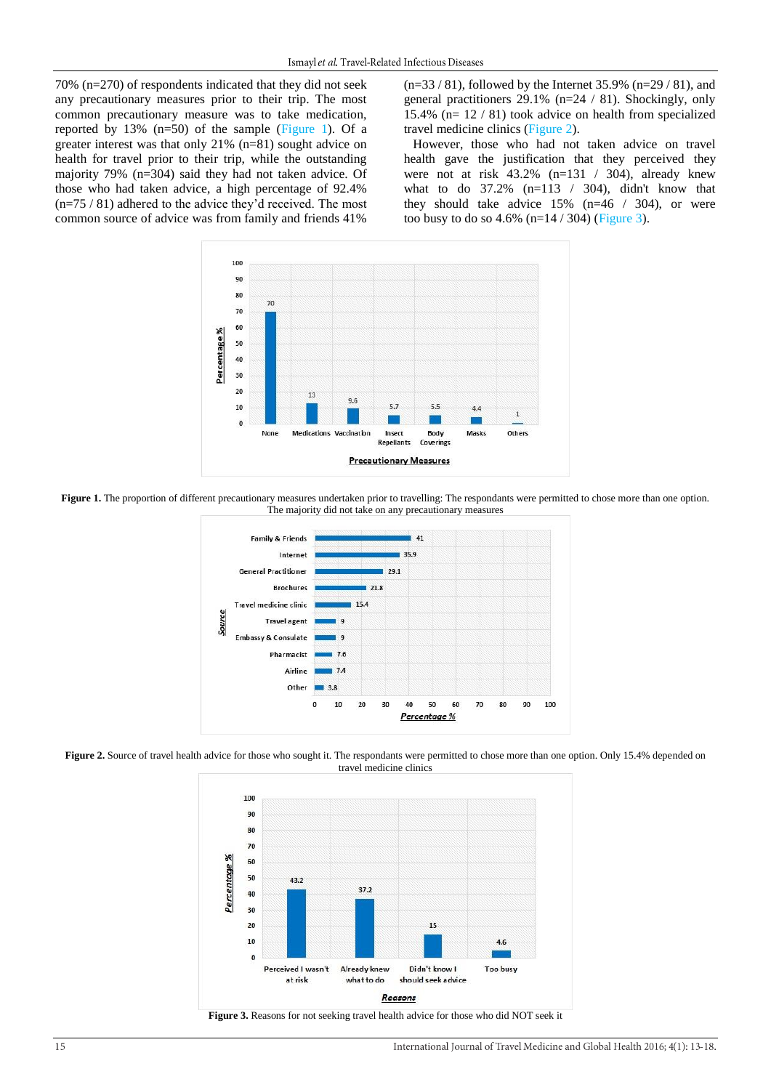70% (n=270) of respondents indicated that they did not seek any precautionary measures prior to their trip. The most common precautionary measure was to take medication, reported by 13% (n=50) of the sample [\(Figure 1\)](#page-2-0). Of a greater interest was that only 21% (n=81) sought advice on health for travel prior to their trip, while the outstanding majority 79% (n=304) said they had not taken advice. Of those who had taken advice, a high percentage of 92.4% (n=75 / 81) adhered to the advice they'd received. The most common source of advice was from family and friends 41%

 $(n=33 / 81)$ , followed by the Internet 35.9%  $(n=29 / 81)$ , and general practitioners 29.1% (n=24 / 81). Shockingly, only 15.4% (n= 12 / 81) took advice on health from specialized travel medicine clinics [\(Figure 2\)](#page-2-1).

However, those who had not taken advice on travel health gave the justification that they perceived they were not at risk  $43.2\%$  (n=131 / 304), already knew what to do 37.2% (n=113 / 304), didn't know that they should take advice 15% (n=46 / 304), or were too busy to do so  $4.6\%$  (n= $14 / 304$ ) [\(Figure 3\)](#page-2-2).



<span id="page-2-0"></span>**Figure 1.** The proportion of different precautionary measures undertaken prior to travelling: The respondants were permitted to chose more than one option. The majority did not take on any precautionary measures



<span id="page-2-1"></span>Figure 2. Source of travel health advice for those who sought it. The respondants were permitted to chose more than one option. Only 15.4% depended on travel medicine clinics



<span id="page-2-2"></span>**Figure 3.** Reasons for not seeking travel health advice for those who did NOT seek it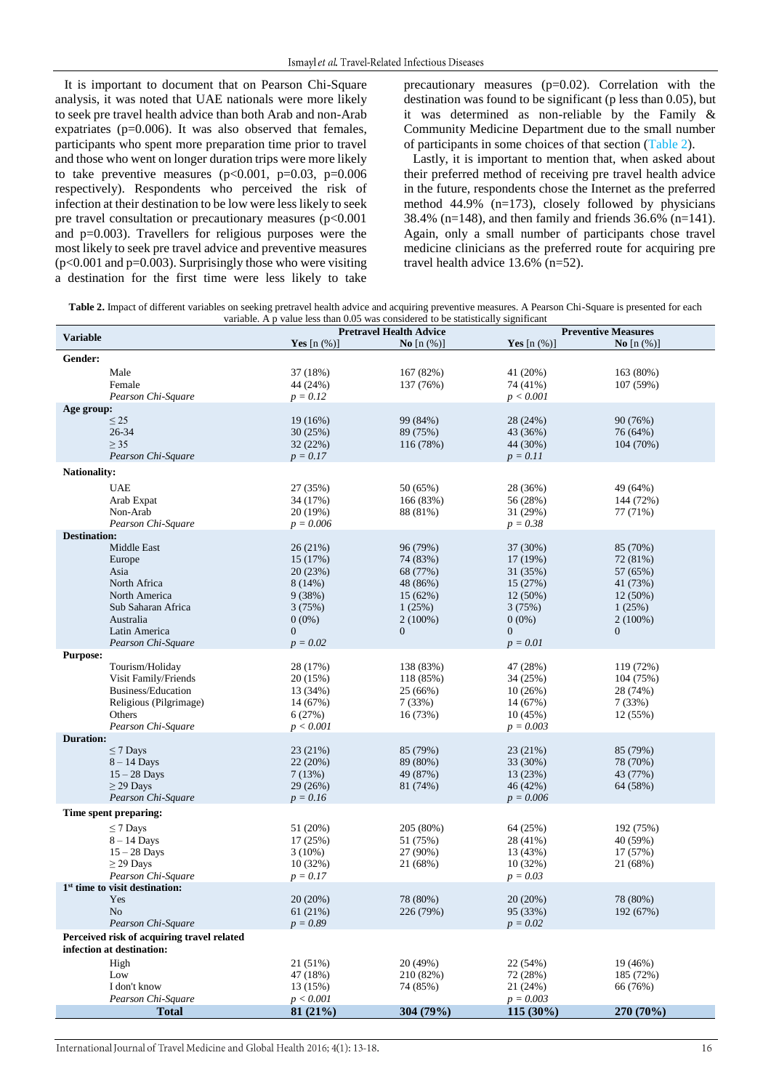It is important to document that on Pearson Chi-Square analysis, it was noted that UAE nationals were more likely to seek pre travel health advice than both Arab and non-Arab expatriates (p=0.006). It was also observed that females, participants who spent more preparation time prior to travel and those who went on longer duration trips were more likely to take preventive measures  $(p<0.001, p=0.03, p=0.006$ respectively). Respondents who perceived the risk of infection at their destination to be low were less likely to seek pre travel consultation or precautionary measures (p<0.001 and  $p=0.003$ ). Travellers for religious purposes were the most likely to seek pre travel advice and preventive measures  $(p<0.001$  and  $p=0.003$ ). Surprisingly those who were visiting a destination for the first time were less likely to take precautionary measures  $(p=0.02)$ . Correlation with the destination was found to be significant (p less than 0.05), but it was determined as non-reliable by the Family & Community Medicine Department due to the small number of participants in some choices of that section [\(Table 2\)](#page-3-0).

Lastly, it is important to mention that, when asked about their preferred method of receiving pre travel health advice in the future, respondents chose the Internet as the preferred method 44.9% (n=173), closely followed by physicians 38.4% (n=148), and then family and friends 36.6% (n=141). Again, only a small number of participants chose travel medicine clinicians as the preferred route for acquiring pre travel health advice 13.6% (n=52).

<span id="page-3-0"></span>Table 2. Impact of different variables on seeking pretravel health advice and acquiring preventive measures. A Pearson Chi-Square is presented for each variable. A p value less than 0.05 was considered to be statistically significant

| <b>Variable</b>                                                         | <b>Pretravel Health Advice</b> |                     | <b>Preventive Measures</b> |                     |  |
|-------------------------------------------------------------------------|--------------------------------|---------------------|----------------------------|---------------------|--|
|                                                                         | Yes $[n \left( % \right)]$     | <b>No</b> $[n (%)]$ | <b>Yes</b> $[n (%)]$       | <b>No</b> $[n (%)]$ |  |
| Gender:                                                                 |                                |                     |                            |                     |  |
| Male                                                                    | 37 (18%)                       | 167 (82%)           | 41 (20%)                   | 163 (80%)           |  |
| Female                                                                  | 44 (24%)                       | 137 (76%)           | 74 (41%)                   | 107 (59%)           |  |
| Pearson Chi-Square                                                      | $p = 0.12$                     |                     | p < 0.001                  |                     |  |
| Age group:                                                              |                                |                     |                            |                     |  |
| $\leq$ 25                                                               | 19 (16%)                       | 99 (84%)            | 28 (24%)                   | 90 (76%)            |  |
| 26-34                                                                   | 30(25%)                        | 89 (75%)            | 43 (36%)                   | 76 (64%)            |  |
| $\geq$ 35                                                               | 32(22%)                        | 116 (78%)           | 44 (30%)                   | 104 (70%)           |  |
| Pearson Chi-Square                                                      | $p = 0.17$                     |                     | $p = 0.11$                 |                     |  |
| <b>Nationality:</b>                                                     |                                |                     |                            |                     |  |
| <b>UAE</b>                                                              | 27 (35%)                       | 50 (65%)            | 28 (36%)                   | 49 (64%)            |  |
| Arab Expat                                                              | 34 (17%)                       | 166 (83%)           | 56 (28%)                   | 144 (72%)           |  |
| Non-Arab                                                                | 20(19%)                        | 88 (81%)            | 31 (29%)                   | 77 (71%)            |  |
| Pearson Chi-Square                                                      | $p = 0.006$                    |                     | $p = 0.38$                 |                     |  |
| <b>Destination:</b>                                                     |                                |                     |                            |                     |  |
| Middle East                                                             | 26(21%)                        | 96 (79%)            | 37 (30%)                   | 85 (70%)            |  |
| Europe                                                                  | 15 (17%)                       | 74 (83%)            | 17 (19%)                   | 72 (81%)            |  |
| Asia                                                                    | 20(23%)                        | 68 (77%)            | 31 (35%)                   | 57 (65%)            |  |
| North Africa                                                            | 8(14%)                         | 48 (86%)            | 15(27%)                    | 41 (73%)            |  |
| North America                                                           | 9(38%)                         | 15(62%)             | $12(50\%)$                 | 12 (50%)            |  |
| Sub Saharan Africa                                                      | 3(75%)                         | 1(25%)              | 3(75%)                     | 1(25%)              |  |
| Australia                                                               | $0(0\%)$                       | $2(100\%)$          | $0(0\%)$                   | $2(100\%)$          |  |
| Latin America                                                           | $\overline{0}$                 | $\mathbf{0}$        | $\overline{0}$             | $\boldsymbol{0}$    |  |
| Pearson Chi-Square                                                      | $p = 0.02$                     |                     | $p = 0.01$                 |                     |  |
| <b>Purpose:</b>                                                         |                                |                     |                            |                     |  |
| Tourism/Holiday                                                         | 28 (17%)                       | 138 (83%)           | 47 (28%)                   | 119 (72%)           |  |
| Visit Family/Friends                                                    | 20 (15%)                       | 118 (85%)           | 34 (25%)                   | 104 (75%)           |  |
| Business/Education                                                      | 13 (34%)                       | 25 (66%)            | 10(26%)                    | 28 (74%)            |  |
| Religious (Pilgrimage)                                                  | 14 (67%)                       | 7(33%)              | 14 (67%)                   | 7(33%)              |  |
| Others                                                                  | 6(27%)                         | 16 (73%)            | 10(45%)                    | 12 (55%)            |  |
| Pearson Chi-Square                                                      | p < 0.001                      |                     | $p = 0.003$                |                     |  |
| <b>Duration:</b>                                                        |                                |                     |                            |                     |  |
| $\leq$ 7 Days                                                           | 23 (21%)                       | 85 (79%)            | 23 (21%)                   | 85 (79%)            |  |
| $8 - 14$ Days                                                           | 22(20%)                        | 89 (80%)            | 33 (30%)                   | 78 (70%)            |  |
| $15 - 28$ Days                                                          | 7(13%)                         | 49 (87%)            | 13 (23%)                   | 43 (77%)            |  |
| $\geq$ 29 Days                                                          | 29 (26%)                       | 81 (74%)            | 46 (42%)                   | 64 (58%)            |  |
| Pearson Chi-Square                                                      | $p = 0.16$                     |                     | $p = 0.006$                |                     |  |
| Time spent preparing:                                                   |                                |                     |                            |                     |  |
| $\leq$ 7 Days                                                           | 51 (20%)                       | 205 (80%)           | 64 (25%)                   | 192 (75%)           |  |
| $8 - 14$ Days                                                           | 17(25%)                        | 51 (75%)            | 28 (41%)                   | 40 (59%)            |  |
| $15 - 28$ Days                                                          | $3(10\%)$                      | 27 (90%)            | 13 (43%)                   | 17 (57%)            |  |
| $\geq$ 29 Days                                                          | 10(32%)                        | 21 (68%)            | 10(32%)                    | 21 (68%)            |  |
| Pearson Chi-Square                                                      | $p = 0.17$                     |                     | $p = 0.03$                 |                     |  |
| $1st$ time to visit destination:                                        |                                |                     |                            |                     |  |
| Yes                                                                     | 20(20%)                        | 78 (80%)            | 20 (20%)                   | 78 (80%)            |  |
| N <sub>o</sub>                                                          | 61(21%)                        | 226 (79%)           | 95 (33%)                   | 192 (67%)           |  |
| Pearson Chi-Square                                                      | $p = 0.89$                     |                     | $p = 0.02$                 |                     |  |
| Perceived risk of acquiring travel related<br>infection at destination: |                                |                     |                            |                     |  |
| High                                                                    | 21 (51%)                       | 20 (49%)            | 22 (54%)                   | 19 (46%)            |  |
| Low                                                                     | 47 (18%)                       | 210 (82%)           | 72 (28%)                   | 185 (72%)           |  |
| I don't know                                                            | 13 (15%)                       | 74 (85%)            | 21 (24%)                   | 66 (76%)            |  |
| Pearson Chi-Square                                                      | p < 0.001                      |                     | $p = 0.003$                |                     |  |
| <b>Total</b>                                                            | 81(21%)                        | 304 (79%)           | 115 (30%)                  | 270 (70%)           |  |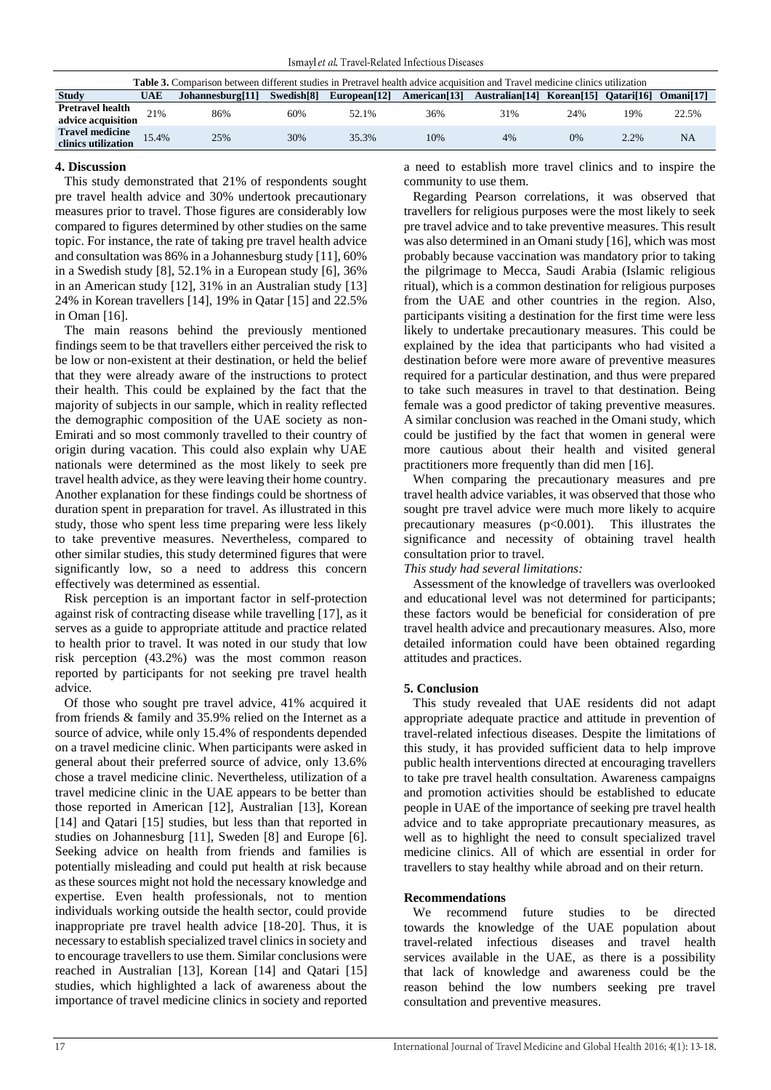| <b>Table 3.</b> Comparison between different studies in Pretravel health advice acquisition and Travel medicine clinics utilization |       |                  |            |              |     |                                                                                                   |     |      |                       |
|-------------------------------------------------------------------------------------------------------------------------------------|-------|------------------|------------|--------------|-----|---------------------------------------------------------------------------------------------------|-----|------|-----------------------|
| <b>Study</b>                                                                                                                        | UAE   | Johannesburg[11] | Swedish[8] | European[12] |     | American <sup>[13]</sup> Australian <sup>[14]</sup> Korean <sup>[15]</sup> Oatari <sup>[16]</sup> |     |      | Omani <sup>[17]</sup> |
| <b>Pretravel health</b><br>advice acquisition                                                                                       | 21%   | 86%              | 60%        | 52.1%        | 36% | 31%                                                                                               | 24% | 19%  | 22.5%                 |
| <b>Travel medicine</b><br>clinics utilization                                                                                       | 15.4% | 25%              | 30%        | 35.3%        | 10% | 4%                                                                                                | 0%  | 2.2% | <b>NA</b>             |

## **4. Discussion**

This study demonstrated that 21% of respondents sought pre travel health advice and 30% undertook precautionary measures prior to travel. Those figures are considerably low compared to figures determined by other studies on the same topic. For instance, the rate of taking pre travel health advice and consultation was 86% in a Johannesburg study [\[11\]](#page-5-10), 60% in a Swedish study [\[8\]](#page-5-7), 52.1% in a European study [\[6\]](#page-5-5), 36% in an American study [\[12\]](#page-5-11), 31% in an Australian study [\[13\]](#page-5-12) 24% in Korean travellers [\[14\]](#page-5-13), 19% in Qatar [\[15\]](#page-5-14) and 22.5% in Oman [\[16\]](#page-5-15).

The main reasons behind the previously mentioned findings seem to be that travellers either perceived the risk to be low or non-existent at their destination, or held the belief that they were already aware of the instructions to protect their health. This could be explained by the fact that the majority of subjects in our sample, which in reality reflected the demographic composition of the UAE society as non-Emirati and so most commonly travelled to their country of origin during vacation. This could also explain why UAE nationals were determined as the most likely to seek pre travel health advice, as they were leaving their home country. Another explanation for these findings could be shortness of duration spent in preparation for travel. As illustrated in this study, those who spent less time preparing were less likely to take preventive measures. Nevertheless, compared to other similar studies, this study determined figures that were significantly low, so a need to address this concern effectively was determined as essential.

Risk perception is an important factor in self-protection against risk of contracting disease while travelling [\[17\]](#page-5-16), as it serves as a guide to appropriate attitude and practice related to health prior to travel. It was noted in our study that low risk perception (43.2%) was the most common reason reported by participants for not seeking pre travel health advice.

Of those who sought pre travel advice, 41% acquired it from friends & family and 35.9% relied on the Internet as a source of advice, while only 15.4% of respondents depended on a travel medicine clinic. When participants were asked in general about their preferred source of advice, only 13.6% chose a travel medicine clinic. Nevertheless, utilization of a travel medicine clinic in the UAE appears to be better than those reported in American [\[12\]](#page-5-11), Australian [\[13\]](#page-5-12), Korean [\[14\]](#page-5-13) and Qatari [\[15\]](#page-5-14) studies, but less than that reported in studies on Johannesburg [\[11\]](#page-5-10), Sweden [\[8\]](#page-5-7) and Europe [\[6\]](#page-5-5). Seeking advice on health from friends and families is potentially misleading and could put health at risk because as these sources might not hold the necessary knowledge and expertise. Even health professionals, not to mention individuals working outside the health sector, could provide inappropriate pre travel health advice [\[18-20\]](#page-5-17). Thus, it is necessary to establish specialized travel clinics in society and to encourage travellers to use them. Similar conclusions were reached in Australian [\[13\]](#page-5-12), Korean [\[14\]](#page-5-13) and Qatari [\[15\]](#page-5-14) studies, which highlighted a lack of awareness about the importance of travel medicine clinics in society and reported a need to establish more travel clinics and to inspire the community to use them.

Regarding Pearson correlations, it was observed that travellers for religious purposes were the most likely to seek pre travel advice and to take preventive measures. This result was also determined in an Omani study [\[16\]](#page-5-15), which was most probably because vaccination was mandatory prior to taking the pilgrimage to Mecca, Saudi Arabia (Islamic religious ritual), which is a common destination for religious purposes from the UAE and other countries in the region. Also, participants visiting a destination for the first time were less likely to undertake precautionary measures. This could be explained by the idea that participants who had visited a destination before were more aware of preventive measures required for a particular destination, and thus were prepared to take such measures in travel to that destination. Being female was a good predictor of taking preventive measures. A similar conclusion was reached in the Omani study, which could be justified by the fact that women in general were more cautious about their health and visited general practitioners more frequently than did men [\[16\]](#page-5-15).

When comparing the precautionary measures and pre travel health advice variables, it was observed that those who sought pre travel advice were much more likely to acquire precautionary measures (p<0.001). This illustrates the significance and necessity of obtaining travel health consultation prior to travel.

*This study had several limitations:*

Assessment of the knowledge of travellers was overlooked and educational level was not determined for participants; these factors would be beneficial for consideration of pre travel health advice and precautionary measures. Also, more detailed information could have been obtained regarding attitudes and practices.

## **5. Conclusion**

This study revealed that UAE residents did not adapt appropriate adequate practice and attitude in prevention of travel-related infectious diseases. Despite the limitations of this study, it has provided sufficient data to help improve public health interventions directed at encouraging travellers to take pre travel health consultation. Awareness campaigns and promotion activities should be established to educate people in UAE of the importance of seeking pre travel health advice and to take appropriate precautionary measures, as well as to highlight the need to consult specialized travel medicine clinics. All of which are essential in order for travellers to stay healthy while abroad and on their return.

### **Recommendations**

We recommend future studies to be directed towards the knowledge of the UAE population about travel-related infectious diseases and travel health services available in the UAE, as there is a possibility that lack of knowledge and awareness could be the reason behind the low numbers seeking pre travel consultation and preventive measures.